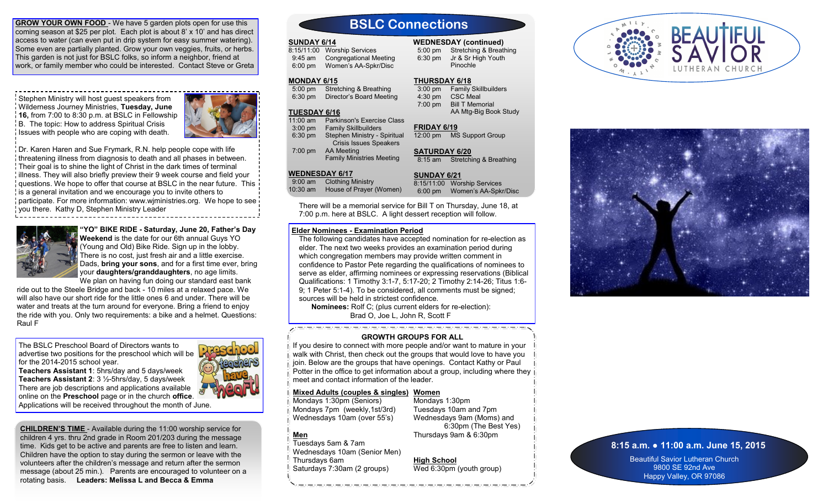**GROW YOUR OWN FOOD** - We have 5 garden plots open for use this coming season at \$25 per plot. Each plot is about 8' x 10' and has direct access to water (can even put in drip system for easy summer watering). Some even are partially planted. Grow your own veggies, fruits, or herbs. This garden is not just for BSLC folks, so inform a neighbor, friend at work, or family member who could be interested. Contact Steve or Greta

Stephen Ministry will host guest speakers from Wilderness Journey Ministries, **Tuesday, June 16,** from 7:00 to 8:30 p.m. at BSLC in Fellowship B. The topic: How to address Spiritual Crisis I Issues with people who are coping with death.



Dr. Karen Haren and Sue Frymark, R.N. help people cope with life threatening illness from diagnosis to death and all phases in between. Their goal is to shine the light of Christ in the dark times of terminal illness. They will also briefly preview their 9 week course and field your questions. We hope to offer that course at BSLC in the near future. This is a general invitation and we encourage you to invite others to participate. For more information: www.wjministries.org. We hope to see you there. Kathy D, Stephen Ministry Leader



**"YO" BIKE RIDE - Saturday, June 20, Father's Day Weekend** is the date for our 6th annual Guys YO (Young and Old) Bike Ride. Sign up in the lobby.

There is no cost, just fresh air and a little exercise. Dads, **bring your sons**, and for a first time ever, bring your **daughters/granddaughters**, no age limits. We plan on having fun doing our standard east bank

ride out to the Steele Bridge and back - 10 miles at a relaxed pace. We will also have our short ride for the little ones 6 and under. There will be water and treats at the turn around for everyone. Bring a friend to enjoy the ride with you. Only two requirements: a bike and a helmet. Questions: Raul F

The BSLC Preschool Board of Directors wants to advertise two positions for the preschool which will be for the 2014-2015 school year.

**Teachers Assistant 1**: 5hrs/day and 5 days/week **Teachers Assistant 2**: 3 ½-5hrs/day, 5 days/week There are job descriptions and applications available online on the **Preschool** page or in the church **office**. Applications will be received throughout the month of June.

**CHILDREN'S TIME** - Available during the 11:00 worship service for children 4 yrs. thru 2nd grade in Room 201/203 during the message time. Kids get to be active and parents are free to listen and learn. Children have the option to stay during the sermon or leave with the volunteers after the children's message and return after the sermon message (about 25 min.). Parents are encouraged to volunteer on a rotating basis. **Leaders: Melissa L and Becca & Emma**

## **BSLC Connections**

### **SUNDAY 6/14**

8:15/11:00 Worship Services 9:45 am Congregational Meeting 6:00 pm Women's AA-Spkr/Disc

## **MONDAY 6/15**

 5:00 pm Stretching & Breathing 6:30 pm Director's Board Meeting

## **TUESDAY 6/16**

11:00 am Parkinson's Exercise Class 3:00 pm Family Skillbuilders 6:30 pm Stephen Ministry - Spiritual Crisis Issues Speakers 7:00 pm AA Meeting Family Ministries Meeting

## **WEDNESDAY 6/17**

 9:00 am Clothing Ministry 10:30 am House of Prayer (Women)

**SUNDAY 6/21** 8:15/11:00 Worship Services 6:00 pm Women's AA-Spkr/Disc

8:15 am Stretching & Breathing

 5:00 pm Stretching & Breathing 6:30 pm Jr & Sr High Youth Pinochle

**WEDNESDAY (continued)**

 3:00 pm Family Skillbuilders 4:30 pm CSC Meal 7:00 pm Bill T Memorial

12:00 pm MS Support Group

AA Mtg-Big Book Study

**THURSDAY 6/18**

**FRIDAY 6/19**

**SATURDAY 6/20**

There will be a memorial service for Bill T on Thursday, June 18, at 7:00 p.m. here at BSLC. A light dessert reception will follow.

## **Elder Nominees - Examination Period**

The following candidates have accepted nomination for re-election as elder. The next two weeks provides an examination period during which congregation members may provide written comment in confidence to Pastor Pete regarding the qualifications of nominees to serve as elder, affirming nominees or expressing reservations (Biblical Qualifications: 1 Timothy 3:1-7, 5:17-20; 2 Timothy 2:14-26; Titus 1:6- 9; 1 Peter 5:1-4). To be considered, all comments must be signed; sources will be held in strictest confidence.

 **Nominees:** Rolf C; (plus current elders for re-election): Brad O, Joe L, John R, Scott F

## **GROWTH GROUPS FOR ALL**

If you desire to connect with more people and/or want to mature in your walk with Christ, then check out the groups that would love to have you join. Below are the groups that have openings. Contact Kathy or Paul Potter in the office to get information about a group, including where they in meet and contact information of the leader.

## **Mixed Adults (couples & singles) Women**

Mondays 1:30pm (Seniors) Mondays 7pm (weekly,1st/3rd) Wednesdays 10am (over 55's)

Mondays 1:30pm Tuesdays 10am and 7pm Wednesdays 9am (Moms) and 6:30pm (The Best Yes) Thursdays 9am & 6:30pm

**High School**





## **8:15 a.m. ● 11:00 a.m. June 15, 2015**

Beautiful Savior Lutheran Church 9800 SE 92nd Ave Happy Valley, OR 97086

# **Men**

Tuesdays 5am & 7am Wednesdays 10am (Senior Men) Thursdays 6am Saturdays 7:30am (2 groups)

Wed 6:30pm (youth group)